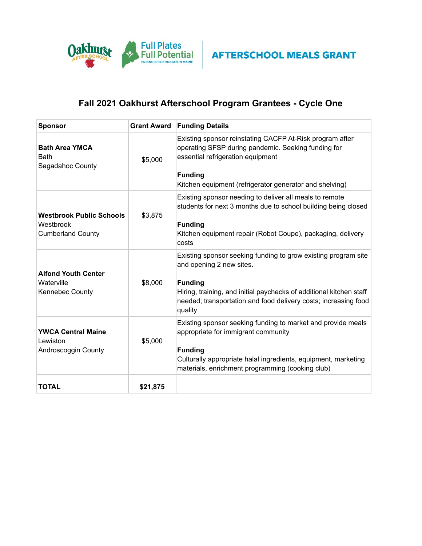

## **Fall 2021 Oakhurst Afterschool Program Grantees - Cycle One**

| <b>Sponsor</b>                                                           | <b>Grant Award</b> | <b>Funding Details</b>                                                                                                                                                                                                                                            |  |  |
|--------------------------------------------------------------------------|--------------------|-------------------------------------------------------------------------------------------------------------------------------------------------------------------------------------------------------------------------------------------------------------------|--|--|
| <b>Bath Area YMCA</b><br><b>Bath</b><br>Sagadahoc County                 | \$5,000            | Existing sponsor reinstating CACFP At-Risk program after<br>operating SFSP during pandemic. Seeking funding for<br>essential refrigeration equipment<br><b>Funding</b><br>Kitchen equipment (refrigerator generator and shelving)                                 |  |  |
| <b>Westbrook Public Schools</b><br>Westbrook<br><b>Cumberland County</b> | \$3,875            | Existing sponsor needing to deliver all meals to remote<br>students for next 3 months due to school building being closed<br><b>Funding</b><br>Kitchen equipment repair (Robot Coupe), packaging, delivery<br>costs                                               |  |  |
| <b>Alfond Youth Center</b><br>Waterville<br><b>Kennebec County</b>       | \$8,000            | Existing sponsor seeking funding to grow existing program site<br>and opening 2 new sites.<br><b>Funding</b><br>Hiring, training, and initial paychecks of additional kitchen staff<br>needed; transportation and food delivery costs; increasing food<br>quality |  |  |
| <b>YWCA Central Maine</b><br>Lewiston<br>Androscoggin County             | \$5,000            | Existing sponsor seeking funding to market and provide meals<br>appropriate for immigrant community<br><b>Funding</b><br>Culturally appropriate halal ingredients, equipment, marketing<br>materials, enrichment programming (cooking club)                       |  |  |
| <b>TOTAL</b>                                                             | \$21,875           |                                                                                                                                                                                                                                                                   |  |  |